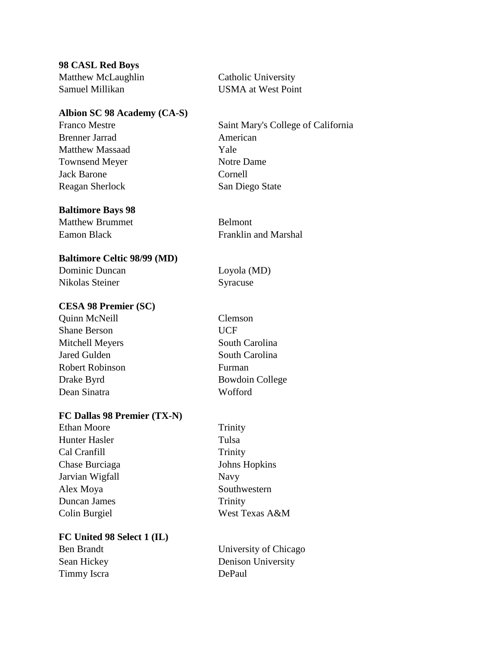# **98 CASL Red Boys**

Matthew McLaughlin Catholic University Samuel Millikan USMA at West Point

# **Albion SC 98 Academy (CA-S)**

Brenner Jarrad American Matthew Massaad Yale Townsend Meyer Notre Dame Jack Barone Cornell Reagan Sherlock San Diego State

# **Baltimore Bays 98**

Matthew Brummet Belmont

# **Baltimore Celtic 98/99 (MD)**

Dominic Duncan Loyola (MD) Nikolas Steiner Syracuse

# **CESA 98 Premier (SC)**

Quinn McNeill Clemson Shane Berson UCF Mitchell Meyers South Carolina Jared Gulden South Carolina Robert Robinson Furman Drake Byrd Bowdoin College Dean Sinatra Wofford

# **FC Dallas 98 Premier (TX-N)**

Ethan Moore Trinity Hunter Hasler Tulsa Cal Cranfill Trinity Chase Burciaga Johns Hopkins Jarvian Wigfall Navy Alex Moya Southwestern Duncan James Trinity Colin Burgiel West Texas A&M

# **FC United 98 Select 1 (IL)**

Timmy Iscra DePaul

Franco Mestre Saint Mary's College of California

Eamon Black Franklin and Marshal

Ben Brandt University of Chicago Sean Hickey Denison University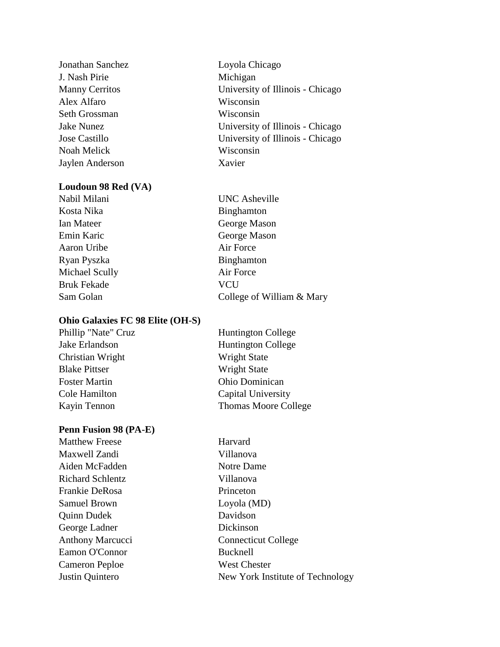Jonathan Sanchez Loyola Chicago J. Nash Pirie Michigan Alex Alfaro Wisconsin Seth Grossman Wisconsin Noah Melick Wisconsin Jaylen Anderson Xavier

#### **Loudoun 98 Red (VA)**

Kosta Nika Binghamton Ian Mateer George Mason Emin Karic George Mason Aaron Uribe Air Force Ryan Pyszka Binghamton Michael Scully **Air Force** Bruk Fekade **VCU** 

#### **Ohio Galaxies FC 98 Elite (OH-S)**

Phillip "Nate" Cruz Jake Erlandson Christian Wright **Blake Pittser** Foster Martin Cole Hamilton Kayin Tennon

#### **Penn Fusion 98 (PA-E)**

Matthew Freese **Harvard** Maxwell Zandi Villanova Aiden McFadden Notre Dame Richard Schlentz Villanova Frankie DeRosa Princeton Samuel Brown Loyola (MD) Quinn Dudek Davidson George Ladner Dickinson Eamon O'Connor Bucknell Cameron Peploe West Chester

Manny Cerritos University of Illinois - Chicago Jake Nunez University of Illinois - Chicago Jose Castillo University of Illinois - Chicago

Nabil Milani UNC Asheville Sam Golan College of William & Mary

| <b>Huntington College</b>   |
|-----------------------------|
| <b>Huntington College</b>   |
| <b>Wright State</b>         |
| <b>Wright State</b>         |
| Ohio Dominican              |
| Capital University          |
| <b>Thomas Moore College</b> |

Anthony Marcucci Connecticut College Justin Quintero New York Institute of Technology